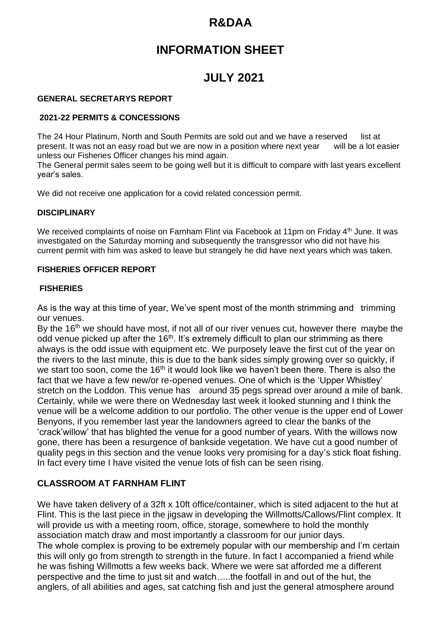# **R&DAA**

# **INFORMATION SHEET**

# **JULY 2021**

#### **GENERAL SECRETARYS REPORT**

#### **2021-22 PERMITS & CONCESSIONS**

The 24 Hour Platinum, North and South Permits are sold out and we have a reserved list at present. It was not an easy road but we are now in a position where next year will be a lot easier unless our Fisheries Officer changes his mind again.

The General permit sales seem to be going well but it is difficult to compare with last years excellent year's sales.

We did not receive one application for a covid related concession permit.

### **DISCIPLINARY**

We received complaints of noise on Farnham Flint via Facebook at 11pm on Friday 4<sup>th</sup> June. It was investigated on the Saturday morning and subsequently the transgressor who did not have his current permit with him was asked to leave but strangely he did have next years which was taken.

### **FISHERIES OFFICER REPORT**

#### **FISHERIES**

As is the way at this time of year, We've spent most of the month strimming and trimming our venues.

By the  $16<sup>th</sup>$  we should have most, if not all of our river venues cut, however there maybe the odd venue picked up after the 16<sup>th</sup>. It's extremely difficult to plan our strimming as there always is the odd issue with equipment etc. We purposely leave the first cut of the year on the rivers to the last minute, this is due to the bank sides simply growing over so quickly, if we start too soon, come the  $16<sup>th</sup>$  it would look like we haven't been there. There is also the fact that we have a few new/or re-opened venues. One of which is the 'Upper Whistley' stretch on the Loddon. This venue has around 35 pegs spread over around a mile of bank. Certainly, while we were there on Wednesday last week it looked stunning and I think the venue will be a welcome addition to our portfolio. The other venue is the upper end of Lower Benyons, if you remember last year the landowners agreed to clear the banks of the 'crack'willow' that has blighted the venue for a good number of years. With the willows now gone, there has been a resurgence of bankside vegetation. We have cut a good number of quality pegs in this section and the venue looks very promising for a day's stick float fishing. In fact every time I have visited the venue lots of fish can be seen rising.

### **CLASSROOM AT FARNHAM FLINT**

We have taken delivery of a 32ft x 10ft office/container, which is sited adjacent to the hut at Flint. This is the last piece in the jigsaw in developing the Willmotts/Callows/Flint complex. It will provide us with a meeting room, office, storage, somewhere to hold the monthly association match draw and most importantly a classroom for our junior days. The whole complex is proving to be extremely popular with our membership and I'm certain this will only go from strength to strength in the future. In fact I accompanied a friend while he was fishing Willmotts a few weeks back. Where we were sat afforded me a different perspective and the time to just sit and watch…..the footfall in and out of the hut, the anglers, of all abilities and ages, sat catching fish and just the general atmosphere around